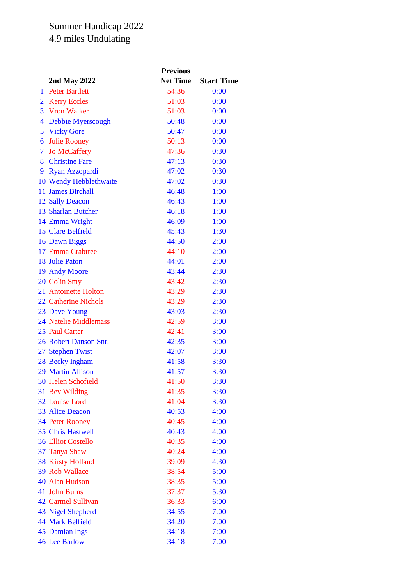## Summer Handicap 2022 4.9 miles Undulating

|                |                              | <b>Previous</b> |                   |  |
|----------------|------------------------------|-----------------|-------------------|--|
|                | 2nd May 2022                 | <b>Net Time</b> | <b>Start Time</b> |  |
| 1              | <b>Peter Bartlett</b>        | 54:36           | 0:00              |  |
| $\overline{2}$ | <b>Kerry Eccles</b>          | 51:03           | 0:00              |  |
|                | 3 Vron Walker                | 51:03           | 0:00              |  |
| $\overline{4}$ | Debbie Myerscough            | 50:48           | 0:00              |  |
| 5              | <b>Vicky Gore</b>            | 50:47           | 0:00              |  |
| 6              | <b>Julie Rooney</b>          | 50:13           | 0:00              |  |
| $\tau$         | <b>Jo McCaffery</b>          | 47:36           | 0:30              |  |
| 8              | <b>Christine Fare</b>        | 47:13           | 0:30              |  |
| 9              | Ryan Azzopardi               | 47:02           | 0:30              |  |
|                | 10 Wendy Hebblethwaite       | 47:02           | 0:30              |  |
|                | 11 James Birchall            | 46:48           | 1:00              |  |
|                | 12 Sally Deacon              | 46:43           | 1:00              |  |
|                | 13 Sharlan Butcher           | 46:18           | 1:00              |  |
|                | 14 Emma Wright               | 46:09           | 1:00              |  |
|                | 15 Clare Belfield            | 45:43           | 1:30              |  |
|                | 16 Dawn Biggs                | 44:50           | 2:00              |  |
|                | 17 Emma Crabtree             | 44:10           | 2:00              |  |
|                | <b>18 Julie Paton</b>        | 44:01           | 2:00              |  |
|                | 19 Andy Moore                | 43:44           | 2:30              |  |
|                | 20 Colin Smy                 | 43:42           | 2:30              |  |
|                | 21 Antoinette Holton         | 43:29           | 2:30              |  |
|                | <b>22 Catherine Nichols</b>  | 43:29           | 2:30              |  |
|                | 23 Dave Young                | 43:03           | 2:30              |  |
|                | <b>24 Natelie Middlemass</b> | 42:59           | 3:00              |  |
|                | 25 Paul Carter               | 42:41           | 3:00              |  |
|                | 26 Robert Danson Snr.        | 42:35           | 3:00              |  |
|                | 27 Stephen Twist             | 42:07           | 3:00              |  |
|                | 28 Becky Ingham              | 41:58           | 3:30              |  |
|                | 29 Martin Allison            | 41:57           | 3:30              |  |
|                | 30 Helen Schofield           | 41:50           | 3:30              |  |
|                | 31 Bev Wilding               | 41:35           | 3:30              |  |
|                | 32 Louise Lord               | 41:04           | 3:30              |  |
|                | 33 Alice Deacon              | 40:53           | 4:00              |  |
|                | <b>34 Peter Rooney</b>       | 40:45           | 4:00              |  |
|                | <b>35 Chris Hastwell</b>     | 40:43           | 4:00              |  |
|                | <b>36 Elliot Costello</b>    | 40:35           | 4:00              |  |
|                | 37 Tanya Shaw                | 40:24           | 4:00              |  |
|                | <b>38 Kirsty Holland</b>     | 39:09           | 4:30              |  |
|                | 39 Rob Wallace               | 38:54           | 5:00              |  |
|                | 40 Alan Hudson               | 38:35           | 5:00              |  |
|                | 41 John Burns                | 37:37           | 5:30              |  |
|                | <b>42 Carmel Sullivan</b>    | 36:33           | 6:00              |  |
|                | 43 Nigel Shepherd            | 34:55           | 7:00              |  |
|                | <b>44 Mark Belfield</b>      | 34:20           | 7:00              |  |
|                | 45 Damian Ings               | 34:18           | 7:00              |  |
|                | <b>46 Lee Barlow</b>         | 34:18           | 7:00              |  |
|                |                              |                 |                   |  |